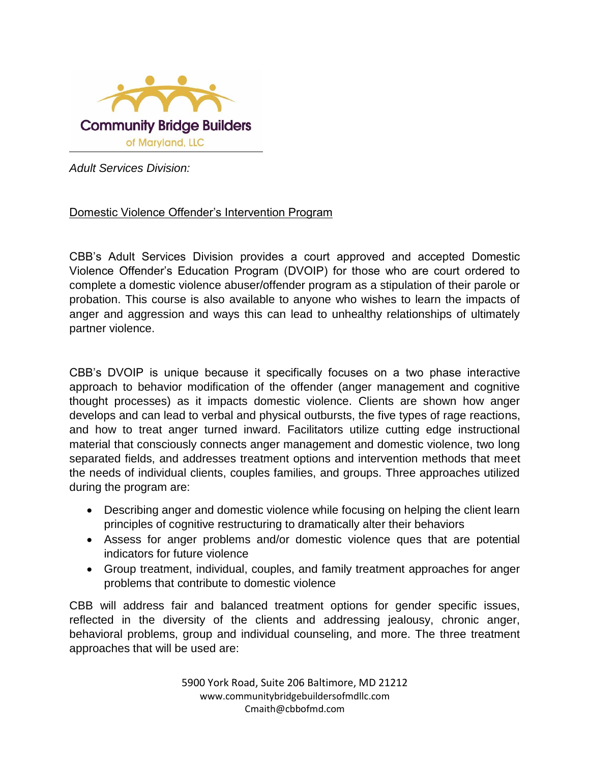

*Adult Services Division:*

## Domestic Violence Offender's Intervention Program

CBB's Adult Services Division provides a court approved and accepted Domestic Violence Offender's Education Program (DVOIP) for those who are court ordered to complete a domestic violence abuser/offender program as a stipulation of their parole or probation. This course is also available to anyone who wishes to learn the impacts of anger and aggression and ways this can lead to unhealthy relationships of ultimately partner violence.

CBB's DVOIP is unique because it specifically focuses on a two phase interactive approach to behavior modification of the offender (anger management and cognitive thought processes) as it impacts domestic violence. Clients are shown how anger develops and can lead to verbal and physical outbursts, the five types of rage reactions, and how to treat anger turned inward. Facilitators utilize cutting edge instructional material that consciously connects anger management and domestic violence, two long separated fields, and addresses treatment options and intervention methods that meet the needs of individual clients, couples families, and groups. Three approaches utilized during the program are:

- Describing anger and domestic violence while focusing on helping the client learn principles of cognitive restructuring to dramatically alter their behaviors
- Assess for anger problems and/or domestic violence ques that are potential indicators for future violence
- Group treatment, individual, couples, and family treatment approaches for anger problems that contribute to domestic violence

CBB will address fair and balanced treatment options for gender specific issues, reflected in the diversity of the clients and addressing jealousy, chronic anger, behavioral problems, group and individual counseling, and more. The three treatment approaches that will be used are:

> 5900 York Road, Suite 206 Baltimore, MD 21212 www.communitybridgebuildersofmdllc.com Cmaith@cbbofmd.com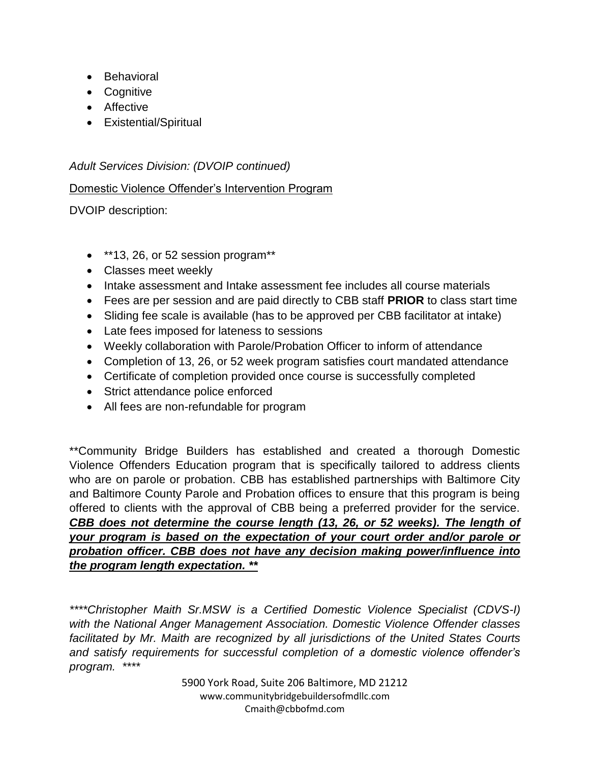- Behavioral
- Cognitive
- Affective
- Existential/Spiritual

*Adult Services Division: (DVOIP continued)*

## Domestic Violence Offender's Intervention Program

DVOIP description:

- $\bullet$  \*\*13, 26, or 52 session program\*\*
- Classes meet weekly
- Intake assessment and Intake assessment fee includes all course materials
- Fees are per session and are paid directly to CBB staff **PRIOR** to class start time
- Sliding fee scale is available (has to be approved per CBB facilitator at intake)
- Late fees imposed for lateness to sessions
- Weekly collaboration with Parole/Probation Officer to inform of attendance
- Completion of 13, 26, or 52 week program satisfies court mandated attendance
- Certificate of completion provided once course is successfully completed
- Strict attendance police enforced
- All fees are non-refundable for program

\*\*Community Bridge Builders has established and created a thorough Domestic Violence Offenders Education program that is specifically tailored to address clients who are on parole or probation. CBB has established partnerships with Baltimore City and Baltimore County Parole and Probation offices to ensure that this program is being offered to clients with the approval of CBB being a preferred provider for the service. *CBB does not determine the course length (13, 26, or 52 weeks). The length of your program is based on the expectation of your court order and/or parole or probation officer. CBB does not have any decision making power/influence into the program length expectation. \*\**

*\*\*\*\*Christopher Maith Sr.MSW is a Certified Domestic Violence Specialist (CDVS-I) with the National Anger Management Association. Domestic Violence Offender classes facilitated by Mr. Maith are recognized by all jurisdictions of the United States Courts and satisfy requirements for successful completion of a domestic violence offender's program. \*\*\*\**

> 5900 York Road, Suite 206 Baltimore, MD 21212 www.communitybridgebuildersofmdllc.com Cmaith@cbbofmd.com